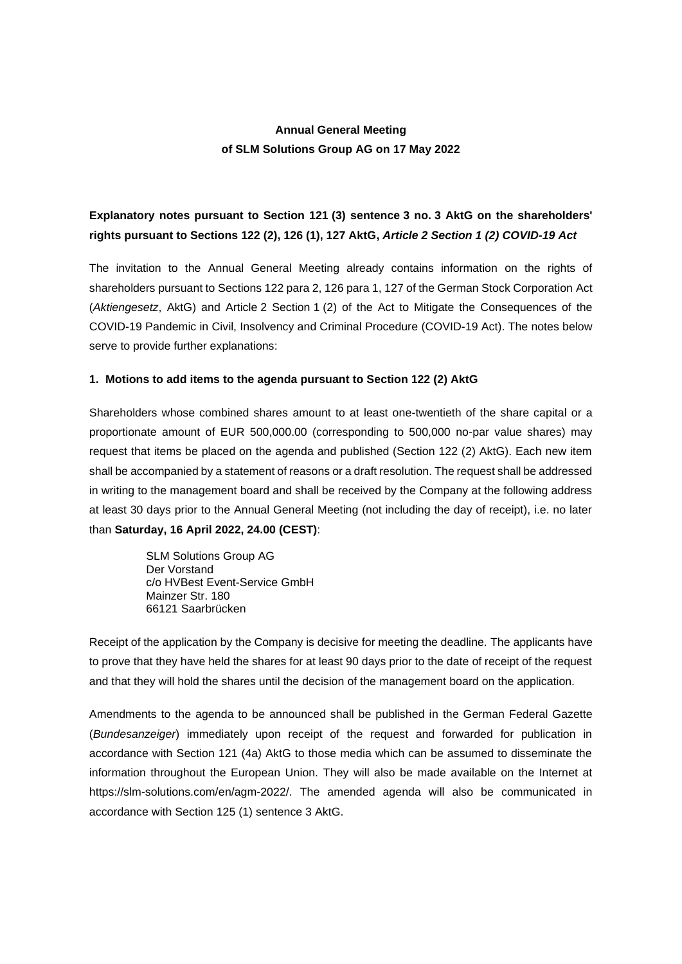# **Annual General Meeting of SLM Solutions Group AG on 17 May 2022**

# **Explanatory notes pursuant to Section 121 (3) sentence 3 no. 3 AktG on the shareholders' rights pursuant to Sections 122 (2), 126 (1), 127 AktG,** *Article 2 Section 1 (2) COVID-19 Act*

The invitation to the Annual General Meeting already contains information on the rights of shareholders pursuant to Sections 122 para 2, 126 para 1, 127 of the German Stock Corporation Act (*Aktiengesetz*, AktG) and Article 2 Section 1 (2) of the Act to Mitigate the Consequences of the COVID-19 Pandemic in Civil, Insolvency and Criminal Procedure (COVID-19 Act). The notes below serve to provide further explanations:

## **1. Motions to add items to the agenda pursuant to Section 122 (2) AktG**

Shareholders whose combined shares amount to at least one-twentieth of the share capital or a proportionate amount of EUR 500,000.00 (corresponding to 500,000 no-par value shares) may request that items be placed on the agenda and published (Section 122 (2) AktG). Each new item shall be accompanied by a statement of reasons or a draft resolution. The request shall be addressed in writing to the management board and shall be received by the Company at the following address at least 30 days prior to the Annual General Meeting (not including the day of receipt), i.e. no later than **Saturday, 16 April 2022, 24.00 (CEST)**:

> SLM Solutions Group AG Der Vorstand c/o HVBest Event-Service GmbH Mainzer Str. 180 66121 Saarbrücken

Receipt of the application by the Company is decisive for meeting the deadline. The applicants have to prove that they have held the shares for at least 90 days prior to the date of receipt of the request and that they will hold the shares until the decision of the management board on the application.

Amendments to the agenda to be announced shall be published in the German Federal Gazette (*Bundesanzeiger*) immediately upon receipt of the request and forwarded for publication in accordance with Section 121 (4a) AktG to those media which can be assumed to disseminate the information throughout the European Union. They will also be made available on the Internet at https://slm-solutions.com/en/agm-2022/. The amended agenda will also be communicated in accordance with Section 125 (1) sentence 3 AktG.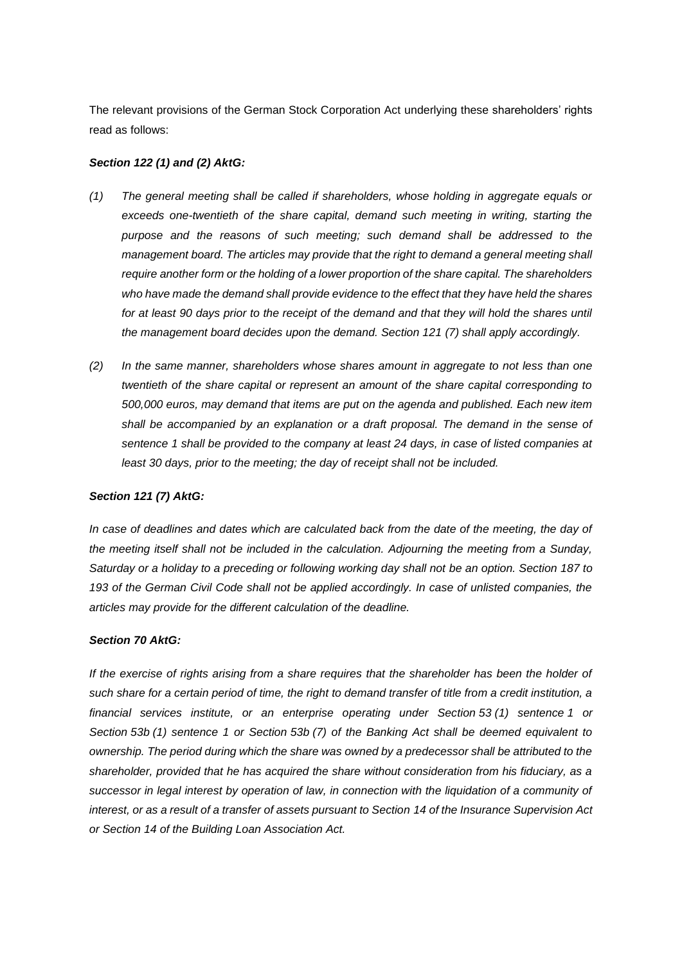The relevant provisions of the German Stock Corporation Act underlying these shareholders' rights read as follows:

## *Section 122 (1) and (2) AktG:*

- *(1) The general meeting shall be called if shareholders, whose holding in aggregate equals or exceeds one-twentieth of the share capital, demand such meeting in writing, starting the purpose and the reasons of such meeting; such demand shall be addressed to the management board. The articles may provide that the right to demand a general meeting shall require another form or the holding of a lower proportion of the share capital. The shareholders who have made the demand shall provide evidence to the effect that they have held the shares*  for at least 90 days prior to the receipt of the demand and that they will hold the shares until *the management board decides upon the demand. Section 121 (7) shall apply accordingly.*
- *(2) In the same manner, shareholders whose shares amount in aggregate to not less than one twentieth of the share capital or represent an amount of the share capital corresponding to 500,000 euros, may demand that items are put on the agenda and published. Each new item shall be accompanied by an explanation or a draft proposal. The demand in the sense of sentence 1 shall be provided to the company at least 24 days, in case of listed companies at least 30 days, prior to the meeting; the day of receipt shall not be included.*

### *Section 121 (7) AktG:*

In case of deadlines and dates which are calculated back from the date of the meeting, the day of *the meeting itself shall not be included in the calculation. Adjourning the meeting from a Sunday, Saturday or a holiday to a preceding or following working day shall not be an option. Section 187 to*  193 of the German Civil Code shall not be applied accordingly. In case of unlisted companies, the *articles may provide for the different calculation of the deadline.*

### *Section 70 AktG:*

*If the exercise of rights arising from a share requires that the shareholder has been the holder of such share for a certain period of time, the right to demand transfer of title from a credit institution, a financial services institute, or an enterprise operating under Section 53 (1) sentence 1 or Section 53b (1) sentence 1 or Section 53b (7) of the Banking Act shall be deemed equivalent to ownership. The period during which the share was owned by a predecessor shall be attributed to the shareholder, provided that he has acquired the share without consideration from his fiduciary, as a successor in legal interest by operation of law, in connection with the liquidation of a community of interest, or as a result of a transfer of assets pursuant to Section 14 of the Insurance Supervision Act or Section 14 of the Building Loan Association Act.*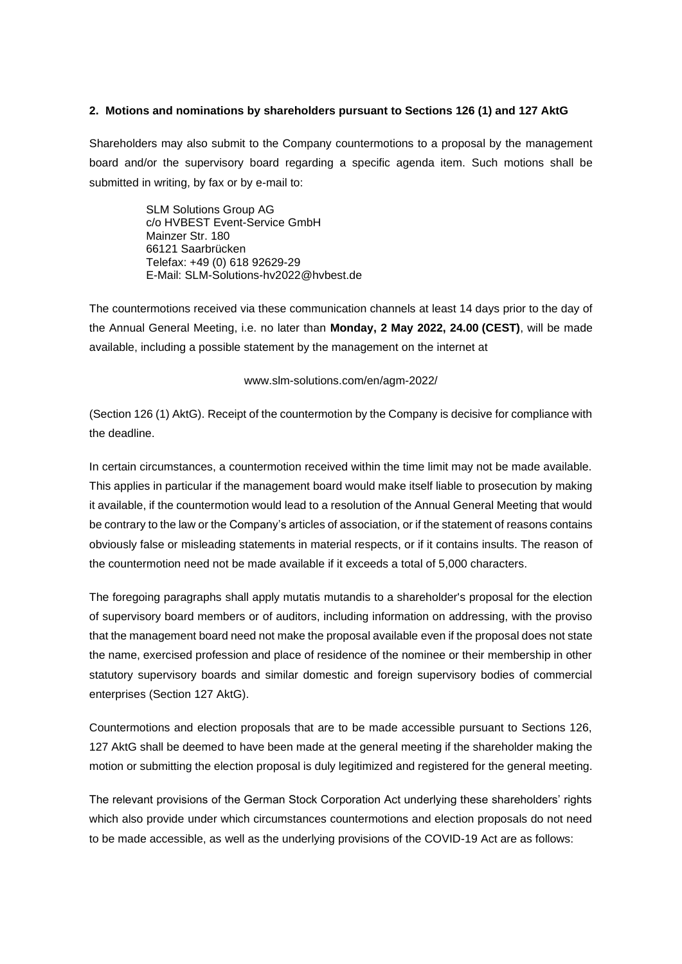## **2. Motions and nominations by shareholders pursuant to Sections 126 (1) and 127 AktG**

Shareholders may also submit to the Company countermotions to a proposal by the management board and/or the supervisory board regarding a specific agenda item. Such motions shall be submitted in writing, by fax or by e-mail to:

> SLM Solutions Group AG c/o HVBEST Event-Service GmbH Mainzer Str. 180 66121 Saarbrücken Telefax: +49 (0) 618 92629-29 E-Mail: SLM-Solutions-hv2022@hvbest.de

The countermotions received via these communication channels at least 14 days prior to the day of the Annual General Meeting, i.e. no later than **Monday, 2 May 2022, 24.00 (CEST)**, will be made available, including a possible statement by the management on the internet at

www.slm-solutions.com/en/agm-2022/

(Section 126 (1) AktG). Receipt of the countermotion by the Company is decisive for compliance with the deadline.

In certain circumstances, a countermotion received within the time limit may not be made available. This applies in particular if the management board would make itself liable to prosecution by making it available, if the countermotion would lead to a resolution of the Annual General Meeting that would be contrary to the law or the Company's articles of association, or if the statement of reasons contains obviously false or misleading statements in material respects, or if it contains insults. The reason of the countermotion need not be made available if it exceeds a total of 5,000 characters.

The foregoing paragraphs shall apply mutatis mutandis to a shareholder's proposal for the election of supervisory board members or of auditors, including information on addressing, with the proviso that the management board need not make the proposal available even if the proposal does not state the name, exercised profession and place of residence of the nominee or their membership in other statutory supervisory boards and similar domestic and foreign supervisory bodies of commercial enterprises (Section 127 AktG).

Countermotions and election proposals that are to be made accessible pursuant to Sections 126, 127 AktG shall be deemed to have been made at the general meeting if the shareholder making the motion or submitting the election proposal is duly legitimized and registered for the general meeting.

The relevant provisions of the German Stock Corporation Act underlying these shareholders' rights which also provide under which circumstances countermotions and election proposals do not need to be made accessible, as well as the underlying provisions of the COVID-19 Act are as follows: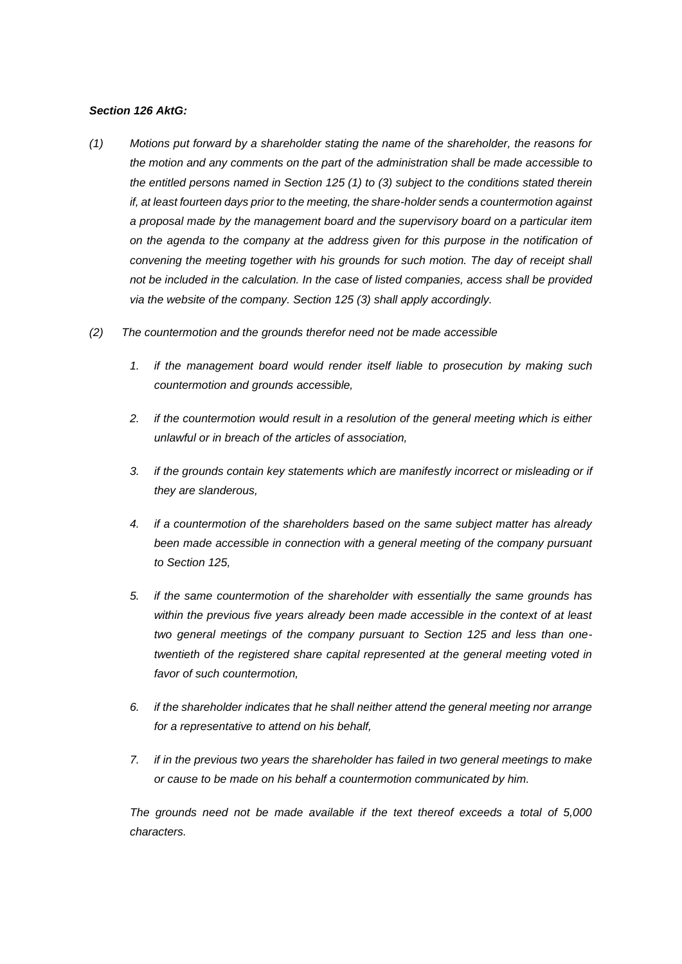## *Section 126 AktG:*

- *(1) Motions put forward by a shareholder stating the name of the shareholder, the reasons for the motion and any comments on the part of the administration shall be made accessible to the entitled persons named in Section 125 (1) to (3) subject to the conditions stated therein if, at least fourteen days prior to the meeting, the share-holder sends a countermotion against a proposal made by the management board and the supervisory board on a particular item on the agenda to the company at the address given for this purpose in the notification of convening the meeting together with his grounds for such motion. The day of receipt shall not be included in the calculation. In the case of listed companies, access shall be provided via the website of the company. Section 125 (3) shall apply accordingly.*
- *(2) The countermotion and the grounds therefor need not be made accessible*
	- *1. if the management board would render itself liable to prosecution by making such countermotion and grounds accessible,*
	- *2. if the countermotion would result in a resolution of the general meeting which is either unlawful or in breach of the articles of association,*
	- *3. if the grounds contain key statements which are manifestly incorrect or misleading or if they are slanderous,*
	- *4. if a countermotion of the shareholders based on the same subject matter has already*  been made accessible in connection with a general meeting of the company pursuant *to Section 125,*
	- *5. if the same countermotion of the shareholder with essentially the same grounds has within the previous five years already been made accessible in the context of at least two general meetings of the company pursuant to Section 125 and less than onetwentieth of the registered share capital represented at the general meeting voted in favor of such countermotion,*
	- *6. if the shareholder indicates that he shall neither attend the general meeting nor arrange for a representative to attend on his behalf,*
	- *7. if in the previous two years the shareholder has failed in two general meetings to make or cause to be made on his behalf a countermotion communicated by him.*

*The grounds need not be made available if the text thereof exceeds a total of 5,000 characters.*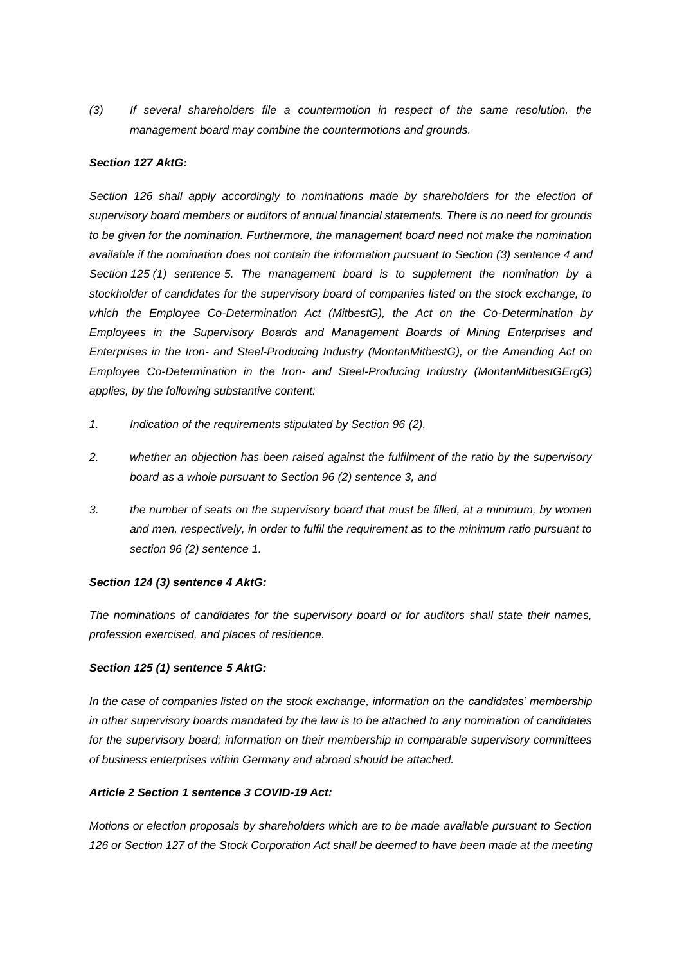*(3) If several shareholders file a countermotion in respect of the same resolution, the management board may combine the countermotions and grounds.*

## *Section 127 AktG:*

*Section 126 shall apply accordingly to nominations made by shareholders for the election of supervisory board members or auditors of annual financial statements. There is no need for grounds to be given for the nomination. Furthermore, the management board need not make the nomination available if the nomination does not contain the information pursuant to Section (3) sentence 4 and Section 125 (1) sentence 5. The management board is to supplement the nomination by a stockholder of candidates for the supervisory board of companies listed on the stock exchange, to which the Employee Co-Determination Act (MitbestG), the Act on the Co-Determination by Employees in the Supervisory Boards and Management Boards of Mining Enterprises and Enterprises in the Iron- and Steel-Producing Industry (MontanMitbestG), or the Amending Act on Employee Co-Determination in the Iron- and Steel-Producing Industry (MontanMitbestGErgG) applies, by the following substantive content:*

- *1. Indication of the requirements stipulated by Section 96 (2),*
- *2. whether an objection has been raised against the fulfilment of the ratio by the supervisory board as a whole pursuant to Section 96 (2) sentence 3, and*
- *3. the number of seats on the supervisory board that must be filled, at a minimum, by women and men, respectively, in order to fulfil the requirement as to the minimum ratio pursuant to section 96 (2) sentence 1.*

### *Section 124 (3) sentence 4 AktG:*

*The nominations of candidates for the supervisory board or for auditors shall state their names, profession exercised, and places of residence.* 

### *Section 125 (1) sentence 5 AktG:*

*In the case of companies listed on the stock exchange, information on the candidates' membership in other supervisory boards mandated by the law is to be attached to any nomination of candidates for the supervisory board; information on their membership in comparable supervisory committees of business enterprises within Germany and abroad should be attached.*

### *Article 2 Section 1 sentence 3 COVID-19 Act:*

*Motions or election proposals by shareholders which are to be made available pursuant to Section 126 or Section 127 of the Stock Corporation Act shall be deemed to have been made at the meeting*